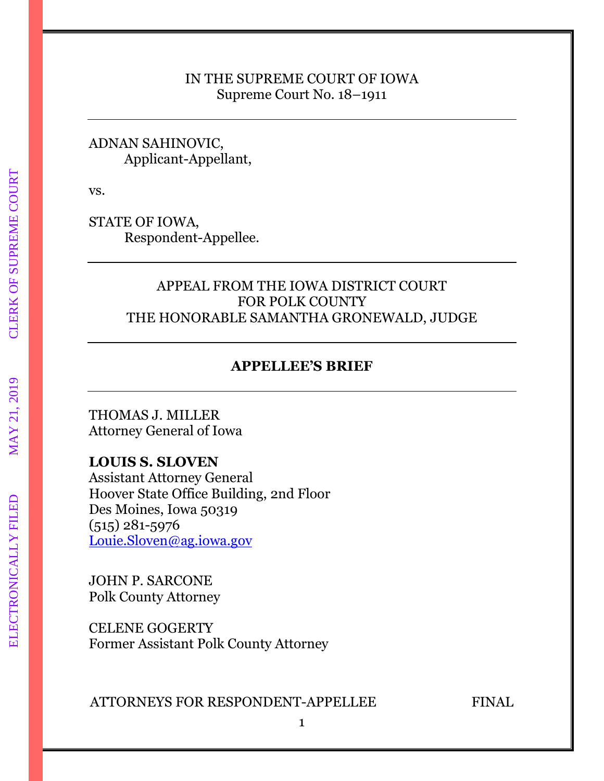### IN THE SUPREME COURT OF IOWA Supreme Court No. 18–1911

### ADNAN SAHINOVIC, Applicant-Appellant,

vs.

STATE OF IOWA, Respondent-Appellee.

## APPEAL FROM THE IOWA DISTRICT COURT FOR POLK COUNTY THE HONORABLE SAMANTHA GRONEWALD, JUDGE

## **APPELLEE'S BRIEF**

THOMAS J. MILLER Attorney General of Iowa

## **LOUIS S. SLOVEN**

Assistant Attorney General Hoover State Office Building, 2nd Floor Des Moines, Iowa 50319 (515) 281-5976 [Louie.Sloven@ag.iowa.gov](mailto:Louie.Sloven@ag.iowa.gov)

JOHN P. SARCONE Polk County Attorney

CELENE GOGERTY Former Assistant Polk County Attorney

ATTORNEYS FOR RESPONDENT-APPELLEE FINAL

ELECTRONICALLY FILED MAY 21, 2019 CLERK OF SUPREME COURT**CLERK OF SUPREME COURT**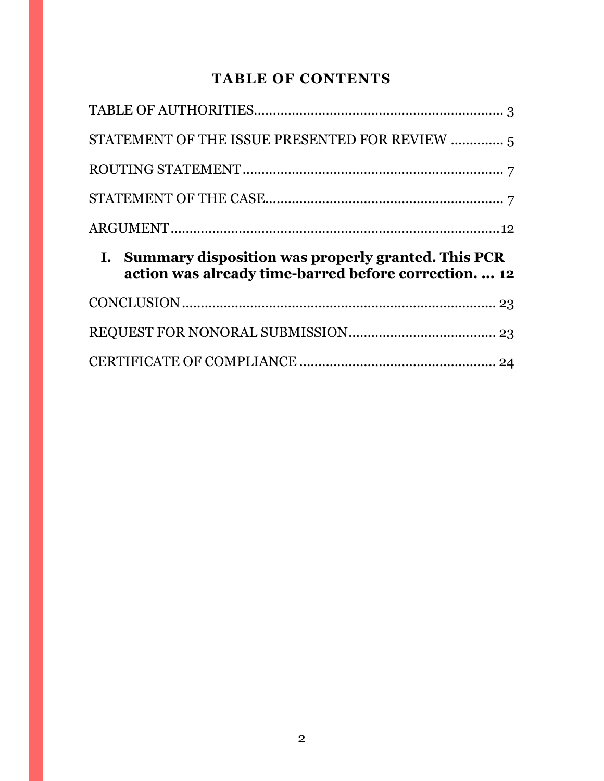# **TABLE OF CONTENTS**

|                | STATEMENT OF THE ISSUE PRESENTED FOR REVIEW  5                                                                     |  |  |  |
|----------------|--------------------------------------------------------------------------------------------------------------------|--|--|--|
|                |                                                                                                                    |  |  |  |
|                |                                                                                                                    |  |  |  |
|                |                                                                                                                    |  |  |  |
|                |                                                                                                                    |  |  |  |
| $\mathbf{I}$ . | <b>Summary disposition was properly granted. This PCR</b><br>action was already time-barred before correction.  12 |  |  |  |
|                |                                                                                                                    |  |  |  |
|                |                                                                                                                    |  |  |  |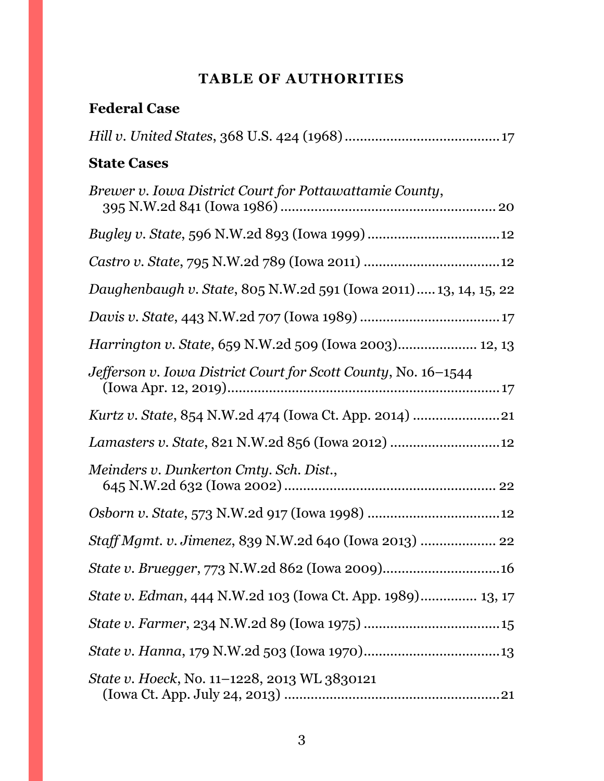# **TABLE OF AUTHORITIES**

<span id="page-2-0"></span>

| <b>Federal Case</b>                                              |
|------------------------------------------------------------------|
|                                                                  |
| <b>State Cases</b>                                               |
| Brewer v. Iowa District Court for Pottawattamie County,          |
|                                                                  |
|                                                                  |
| Daughenbaugh v. State, 805 N.W.2d 591 (Iowa 2011) 13, 14, 15, 22 |
|                                                                  |
| <i>Harrington v. State, 659 N.W.2d 509 (Iowa 2003) 12, 13</i>    |
| Jefferson v. Iowa District Court for Scott County, No. 16–1544   |
| <i>Kurtz v. State, 854 N.W.2d 474 (Iowa Ct. App. 2014) </i> 21   |
|                                                                  |
| Meinders v. Dunkerton Cmty. Sch. Dist.,                          |
|                                                                  |
| Staff Mgmt. v. Jimenez, 839 N.W.2d 640 (Iowa 2013)  22           |
|                                                                  |
| State v. Edman, 444 N.W.2d 103 (Iowa Ct. App. 1989) 13, 17       |
|                                                                  |
|                                                                  |
| <i>State v. Hoeck, No.</i> 11–1228, 2013 WL 3830121              |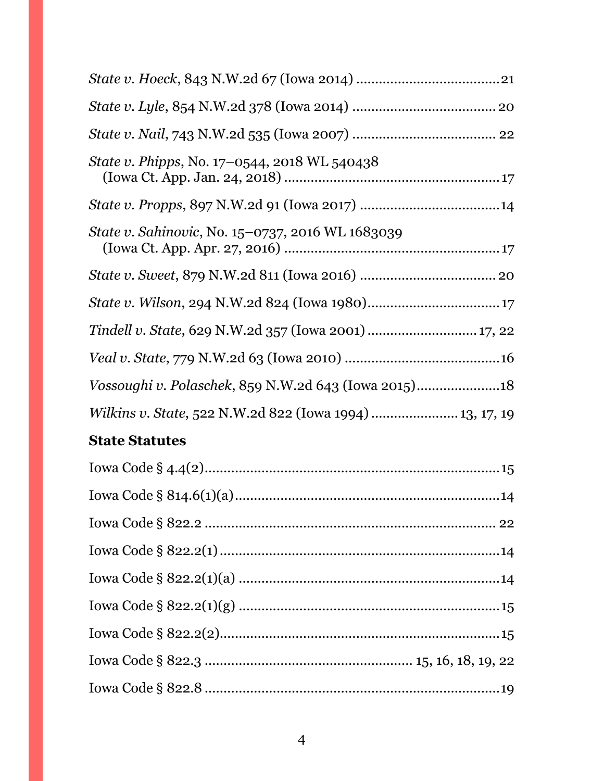| State v. Phipps, No. 17–0544, 2018 WL 540438             |
|----------------------------------------------------------|
|                                                          |
| State v. Sahinovic, No. 15–0737, 2016 WL 1683039         |
|                                                          |
|                                                          |
|                                                          |
|                                                          |
|                                                          |
| Wilkins v. State, 522 N.W.2d 822 (Iowa 1994)  13, 17, 19 |
| <b>State Statutes</b>                                    |
| Iowa Code $\delta$ 4.4(2)<br>1 <sub>5</sub>              |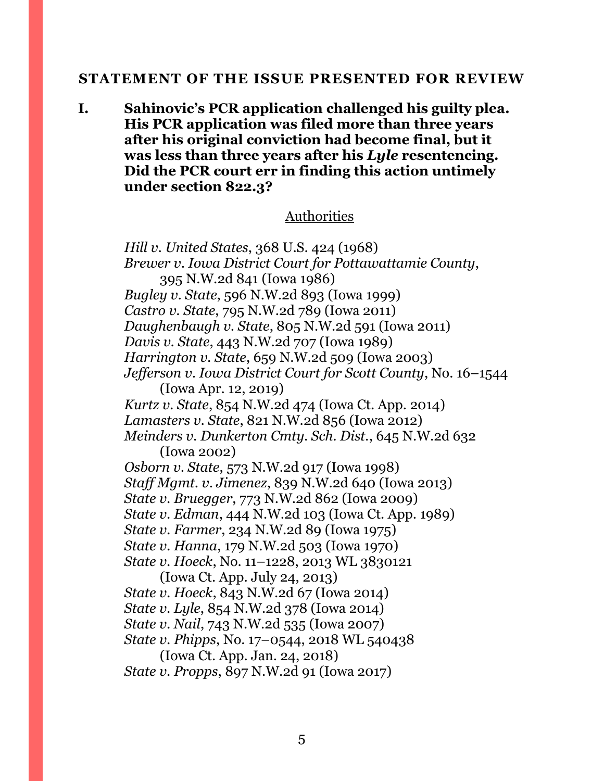#### <span id="page-4-0"></span>**STATEMENT OF THE ISSUE PRESENTED FOR REVIEW**

**I. Sahinovic's PCR application challenged his guilty plea. His PCR application was filed more than three years after his original conviction had become final, but it was less than three years after his** *Lyle* **resentencing. Did the PCR court err in finding this action untimely under section 822.3?**

#### Authorities

*Hill v. United States*, 368 U.S. 424 (1968) *Brewer v. Iowa District Court for Pottawattamie County*, 395 N.W.2d 841 (Iowa 1986) *Bugley v. State*, 596 N.W.2d 893 (Iowa 1999) *Castro v. State*, 795 N.W.2d 789 (Iowa 2011) *Daughenbaugh v. State*, 805 N.W.2d 591 (Iowa 2011) *Davis v. State*, 443 N.W.2d 707 (Iowa 1989) *Harrington v. State*, 659 N.W.2d 509 (Iowa 2003) *Jefferson v. Iowa District Court for Scott County*, No. 16–1544 (Iowa Apr. 12, 2019) *Kurtz v. State*, 854 N.W.2d 474 (Iowa Ct. App. 2014) *Lamasters v. State*, 821 N.W.2d 856 (Iowa 2012) *Meinders v. Dunkerton Cmty. Sch. Dist.*, 645 N.W.2d 632 (Iowa 2002) *Osborn v. State*, 573 N.W.2d 917 (Iowa 1998) *Staff Mgmt. v. Jimenez*, 839 N.W.2d 640 (Iowa 2013) *State v. Bruegger*, 773 N.W.2d 862 (Iowa 2009) *State v. Edman*, 444 N.W.2d 103 (Iowa Ct. App. 1989) *State v. Farmer*, 234 N.W.2d 89 (Iowa 1975) *State v. Hanna*, 179 N.W.2d 503 (Iowa 1970) *State v. Hoeck*, No. 11–1228, 2013 WL 3830121 (Iowa Ct. App. July 24, 2013) *State v. Hoeck*, 843 N.W.2d 67 (Iowa 2014) *State v. Lyle*, 854 N.W.2d 378 (Iowa 2014) *State v. Nail*, 743 N.W.2d 535 (Iowa 2007) *State v. Phipps*, No. 17–0544, 2018 WL 540438 (Iowa Ct. App. Jan. 24, 2018) *State v. Propps*, 897 N.W.2d 91 (Iowa 2017)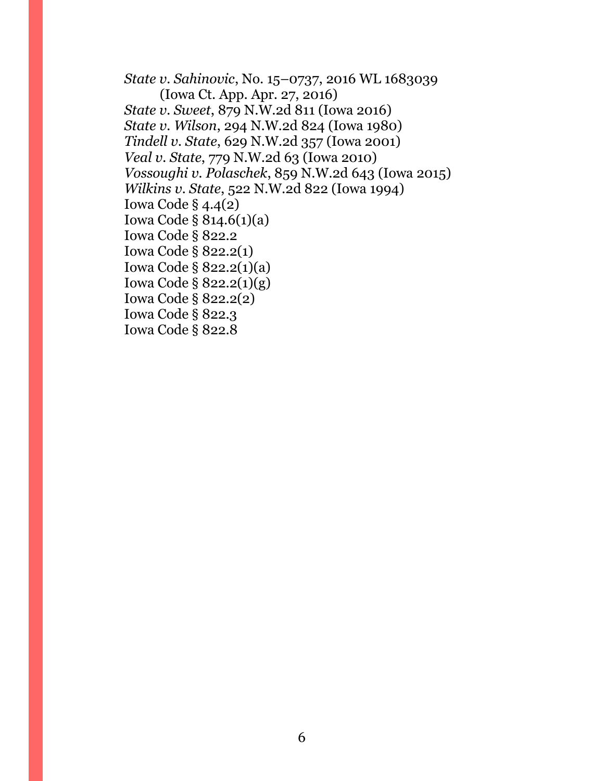*State v. Sahinovic*, No. 15–0737, 2016 WL 1683039 (Iowa Ct. App. Apr. 27, 2016) *State v. Sweet*, 879 N.W.2d 811 (Iowa 2016) *State v. Wilson*, 294 N.W.2d 824 (Iowa 1980) *Tindell v. State*, 629 N.W.2d 357 (Iowa 2001) *Veal v. State*, 779 N.W.2d 63 (Iowa 2010) *Vossoughi v. Polaschek*, 859 N.W.2d 643 (Iowa 2015) *Wilkins v. State*, 522 N.W.2d 822 (Iowa 1994) Iowa Code § 4.4(2) Iowa Code § 814.6(1)(a) Iowa Code § 822.2 Iowa Code § 822.2(1) Iowa Code § 822.2(1)(a) Iowa Code § 822.2(1)(g) Iowa Code § 822.2(2) Iowa Code § 822.3 Iowa Code § 822.8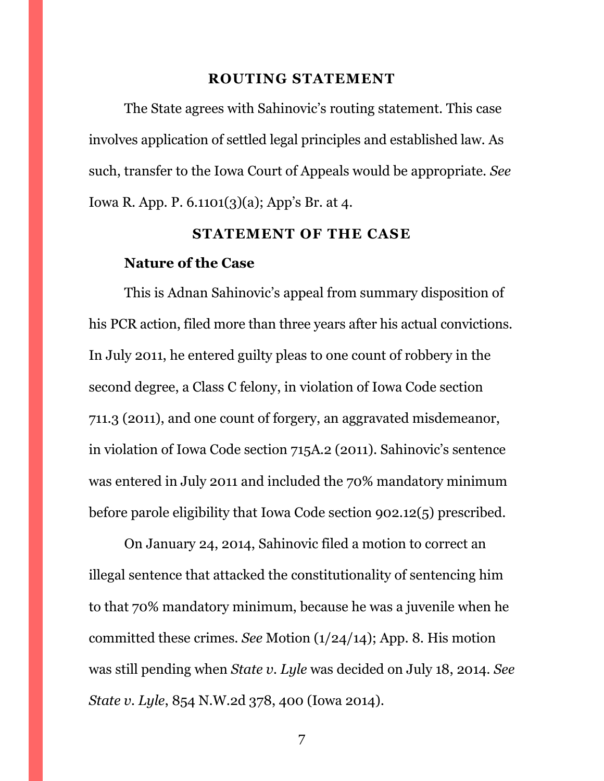#### **ROUTING STATEMENT**

<span id="page-6-0"></span>The State agrees with Sahinovic's routing statement. This case involves application of settled legal principles and established law. As such, transfer to the Iowa Court of Appeals would be appropriate. *See*  Iowa R. App. P. 6.1101(3)(a); App's Br. at 4.

#### **STATEMENT OF THE CASE**

#### <span id="page-6-1"></span>**Nature of the Case**

This is Adnan Sahinovic's appeal from summary disposition of his PCR action, filed more than three years after his actual convictions. In July 2011, he entered guilty pleas to one count of robbery in the second degree, a Class C felony, in violation of Iowa Code section 711.3 (2011), and one count of forgery, an aggravated misdemeanor, in violation of Iowa Code section 715A.2 (2011). Sahinovic's sentence was entered in July 2011 and included the 70% mandatory minimum before parole eligibility that Iowa Code section 902.12(5) prescribed.

On January 24, 2014, Sahinovic filed a motion to correct an illegal sentence that attacked the constitutionality of sentencing him to that 70% mandatory minimum, because he was a juvenile when he committed these crimes. *See* Motion (1/24/14); App. 8. His motion was still pending when *State v. Lyle* was decided on July 18, 2014. *See State v. Lyle*, 854 N.W.2d 378, 400 (Iowa 2014).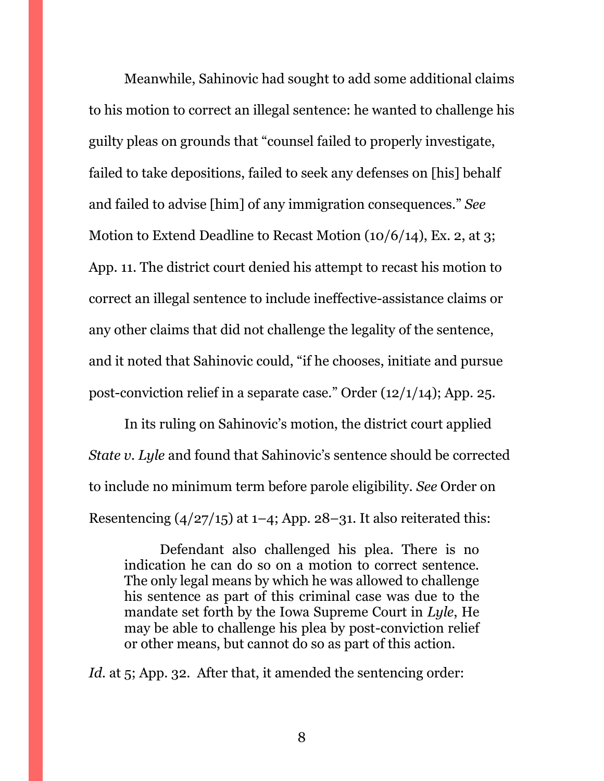Meanwhile, Sahinovic had sought to add some additional claims to his motion to correct an illegal sentence: he wanted to challenge his guilty pleas on grounds that "counsel failed to properly investigate, failed to take depositions, failed to seek any defenses on [his] behalf and failed to advise [him] of any immigration consequences." *See*  Motion to Extend Deadline to Recast Motion (10/6/14), Ex. 2, at 3; App. 11. The district court denied his attempt to recast his motion to correct an illegal sentence to include ineffective-assistance claims or any other claims that did not challenge the legality of the sentence, and it noted that Sahinovic could, "if he chooses, initiate and pursue post-conviction relief in a separate case." Order (12/1/14); App. 25.

In its ruling on Sahinovic's motion, the district court applied *State v. Lyle* and found that Sahinovic's sentence should be corrected to include no minimum term before parole eligibility. *See* Order on Resentencing  $\left(\frac{4}{27}{15}\right)$  at 1–4; App. 28–31. It also reiterated this:

Defendant also challenged his plea. There is no indication he can do so on a motion to correct sentence. The only legal means by which he was allowed to challenge his sentence as part of this criminal case was due to the mandate set forth by the Iowa Supreme Court in *Lyle*, He may be able to challenge his plea by post-conviction relief or other means, but cannot do so as part of this action.

*Id.* at 5; App. 32. After that, it amended the sentencing order: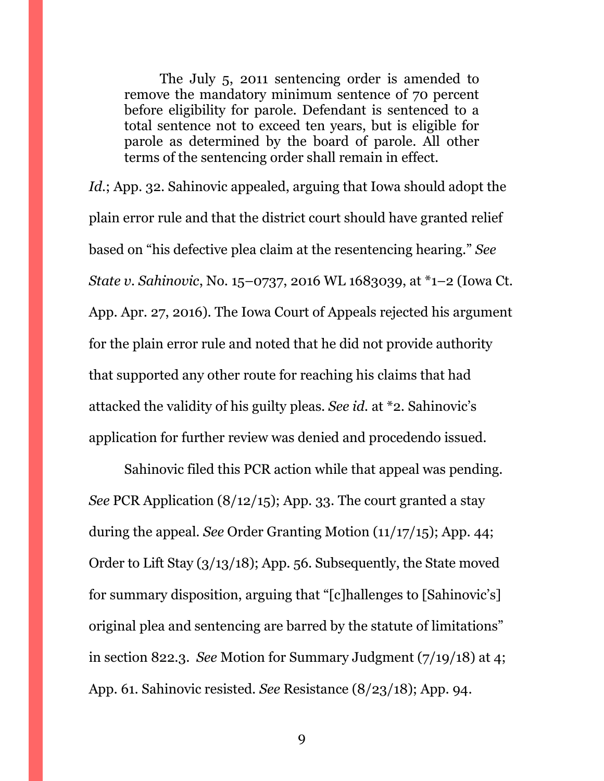The July 5, 2011 sentencing order is amended to remove the mandatory minimum sentence of 70 percent before eligibility for parole. Defendant is sentenced to a total sentence not to exceed ten years, but is eligible for parole as determined by the board of parole. All other terms of the sentencing order shall remain in effect.

*Id.*; App. 32. Sahinovic appealed, arguing that Iowa should adopt the plain error rule and that the district court should have granted relief based on "his defective plea claim at the resentencing hearing." *See State v. Sahinovic*, No. 15–0737, 2016 WL 1683039, at \*1–2 (Iowa Ct. App. Apr. 27, 2016). The Iowa Court of Appeals rejected his argument for the plain error rule and noted that he did not provide authority that supported any other route for reaching his claims that had attacked the validity of his guilty pleas. *See id.* at \*2. Sahinovic's application for further review was denied and procedendo issued.

Sahinovic filed this PCR action while that appeal was pending. *See* PCR Application (8/12/15); App. 33. The court granted a stay during the appeal. *See* Order Granting Motion (11/17/15); App. 44; Order to Lift Stay (3/13/18); App. 56. Subsequently, the State moved for summary disposition, arguing that "[c]hallenges to [Sahinovic's] original plea and sentencing are barred by the statute of limitations" in section 822.3. *See* Motion for Summary Judgment (7/19/18) at 4; App. 61. Sahinovic resisted. *See* Resistance (8/23/18); App. 94.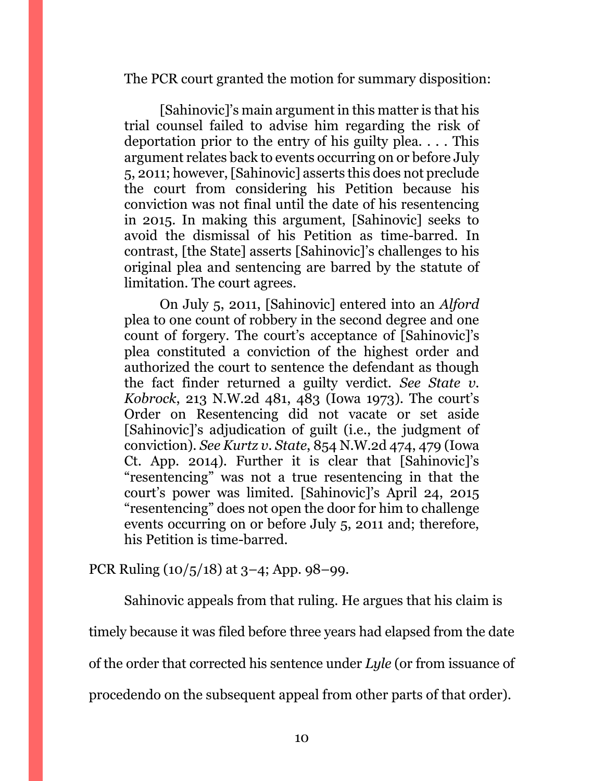The PCR court granted the motion for summary disposition:

[Sahinovic]'s main argument in this matter is that his trial counsel failed to advise him regarding the risk of deportation prior to the entry of his guilty plea. . . . This argument relates back to events occurring on or before July 5, 2011; however, [Sahinovic] asserts this does not preclude the court from considering his Petition because his conviction was not final until the date of his resentencing in 2015. In making this argument, [Sahinovic] seeks to avoid the dismissal of his Petition as time-barred. In contrast, [the State] asserts [Sahinovic]'s challenges to his original plea and sentencing are barred by the statute of limitation. The court agrees.

On July 5, 2011, [Sahinovic] entered into an *Alford* plea to one count of robbery in the second degree and one count of forgery. The court's acceptance of [Sahinovic]'s plea constituted a conviction of the highest order and authorized the court to sentence the defendant as though the fact finder returned a guilty verdict. *See State v. Kobrock*, 213 N.W.2d 481, 483 (Iowa 1973). The court's Order on Resentencing did not vacate or set aside [Sahinovic]'s adjudication of guilt (i.e., the judgment of conviction). *See Kurtz v. State*, 854 N.W.2d 474, 479 (Iowa Ct. App. 2014). Further it is clear that [Sahinovic]'s "resentencing" was not a true resentencing in that the court's power was limited. [Sahinovic]'s April 24, 2015 "resentencing" does not open the door for him to challenge events occurring on or before July 5, 2011 and; therefore, his Petition is time-barred.

PCR Ruling (10/5/18) at 3–4; App. 98–99.

Sahinovic appeals from that ruling. He argues that his claim is

timely because it was filed before three years had elapsed from the date

of the order that corrected his sentence under *Lyle* (or from issuance of

procedendo on the subsequent appeal from other parts of that order).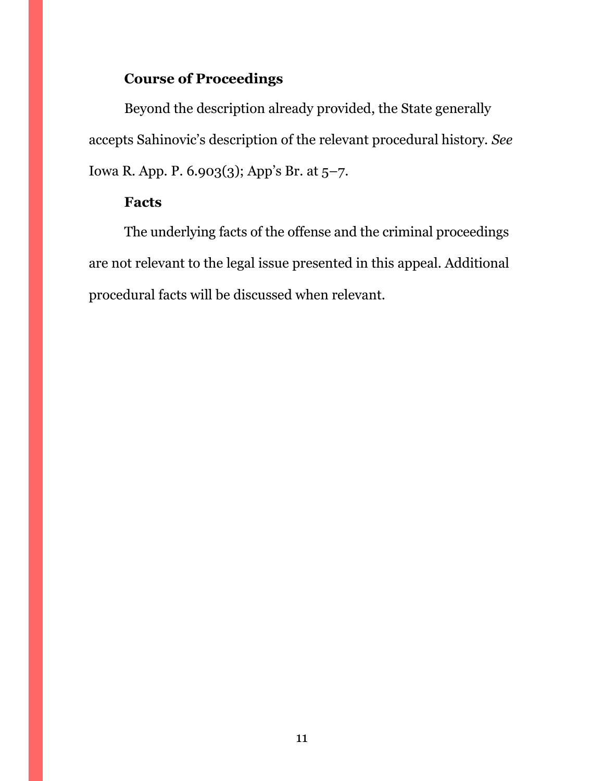# **Course of Proceedings**

Beyond the description already provided, the State generally accepts Sahinovic's description of the relevant procedural history. *See*  Iowa R. App. P. 6.903(3); App's Br. at 5–7.

# **Facts**

The underlying facts of the offense and the criminal proceedings are not relevant to the legal issue presented in this appeal. Additional procedural facts will be discussed when relevant.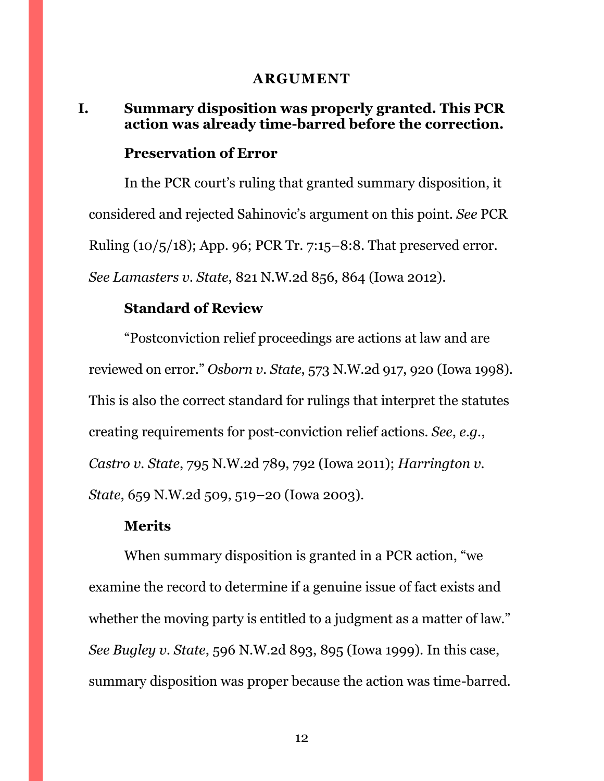#### **ARGUMENT**

### <span id="page-11-1"></span><span id="page-11-0"></span>**I. Summary disposition was properly granted. This PCR action was already time-barred before the correction.**

#### **Preservation of Error**

In the PCR court's ruling that granted summary disposition, it considered and rejected Sahinovic's argument on this point. *See* PCR Ruling (10/5/18); App. 96; PCR Tr. 7:15–8:8. That preserved error. *See Lamasters v. State*, 821 N.W.2d 856, 864 (Iowa 2012).

### **Standard of Review**

"Postconviction relief proceedings are actions at law and are reviewed on error." *Osborn v. State*, 573 N.W.2d 917, 920 (Iowa 1998). This is also the correct standard for rulings that interpret the statutes creating requirements for post-conviction relief actions. *See*, *e.g.*, *Castro v. State*, 795 N.W.2d 789, 792 (Iowa 2011); *Harrington v. State*, 659 N.W.2d 509, 519–20 (Iowa 2003).

#### **Merits**

When summary disposition is granted in a PCR action, "we examine the record to determine if a genuine issue of fact exists and whether the moving party is entitled to a judgment as a matter of law." *See Bugley v. State*, 596 N.W.2d 893, 895 (Iowa 1999). In this case, summary disposition was proper because the action was time-barred.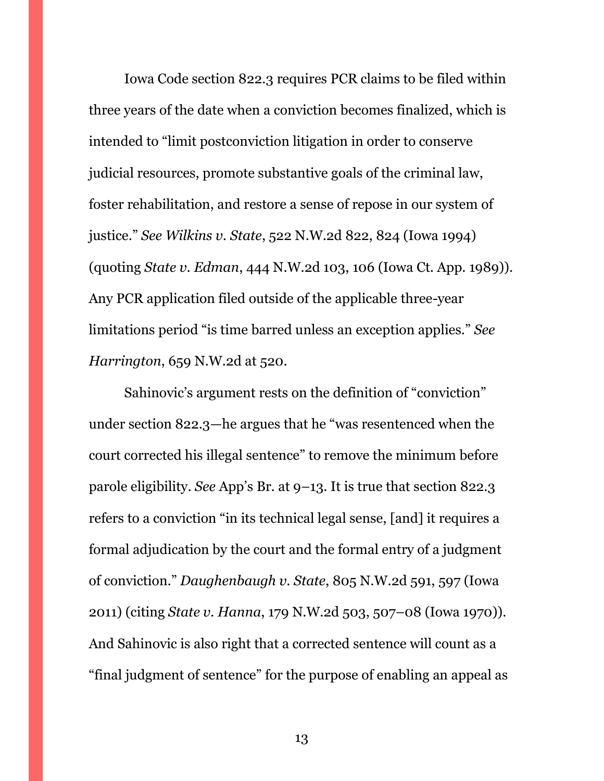Iowa Code section 822.3 requires PCR claims to be filed within three years of the date when a conviction becomes finalized, which is intended to "limit postconviction litigation in order to conserve judicial resources, promote substantive goals of the criminal law, foster rehabilitation, and restore a sense of repose in our system of justice." *See Wilkins v. State*, 522 N.W.2d 822, 824 (Iowa 1994) (quoting *State v. Edman*, 444 N.W.2d 103, 106 (Iowa Ct. App. 1989)). Any PCR application filed outside of the applicable three-year limitations period "is time barred unless an exception applies." *See Harrington*, 659 N.W.2d at 520.

Sahinovic's argument rests on the definition of "conviction" under section 822.3—he argues that he "was resentenced when the court corrected his illegal sentence" to remove the minimum before parole eligibility. *See* App's Br. at 9–13. It is true that section 822.3 refers to a conviction "in its technical legal sense, [and] it requires a formal adjudication by the court and the formal entry of a judgment of conviction." *Daughenbaugh v. State*, 805 N.W.2d 591, 597 (Iowa 2011) (citing *State v. Hanna*, 179 N.W.2d 503, 507–08 (Iowa 1970)). And Sahinovic is also right that a corrected sentence will count as a "final judgment of sentence" for the purpose of enabling an appeal as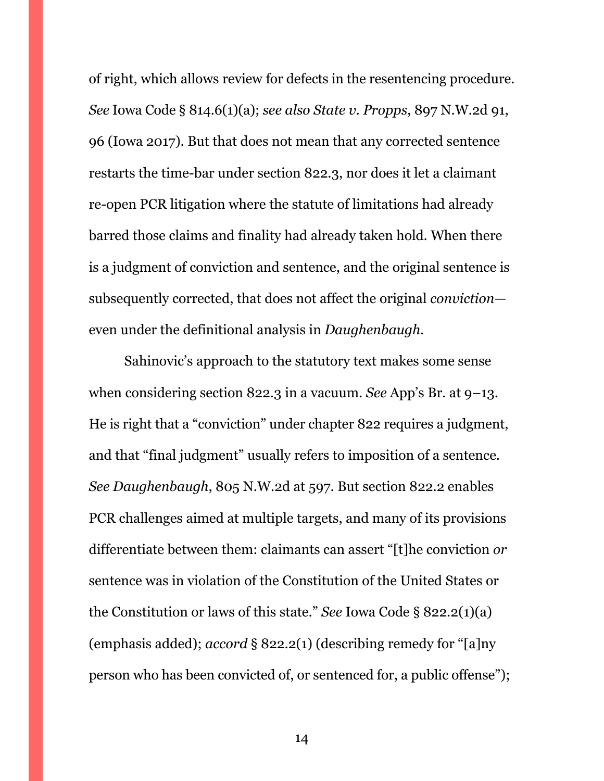of right, which allows review for defects in the resentencing procedure. *See* Iowa Code § 814.6(1)(a); *see also State v. Propps*, 897 N.W.2d 91, 96 (Iowa 2017). But that does not mean that any corrected sentence restarts the time-bar under section 822.3, nor does it let a claimant re-open PCR litigation where the statute of limitations had already barred those claims and finality had already taken hold. When there is a judgment of conviction and sentence, and the original sentence is subsequently corrected, that does not affect the original *conviction* even under the definitional analysis in *Daughenbaugh*.

Sahinovic's approach to the statutory text makes some sense when considering section 822.3 in a vacuum. *See* App's Br. at 9–13. He is right that a "conviction" under chapter 822 requires a judgment, and that "final judgment" usually refers to imposition of a sentence. *See Daughenbaugh*, 805 N.W.2d at 597. But section 822.2 enables PCR challenges aimed at multiple targets, and many of its provisions differentiate between them: claimants can assert "[t]he conviction *or* sentence was in violation of the Constitution of the United States or the Constitution or laws of this state." *See* Iowa Code § 822.2(1)(a) (emphasis added); *accord* § 822.2(1) (describing remedy for "[a]ny person who has been convicted of, or sentenced for, a public offense");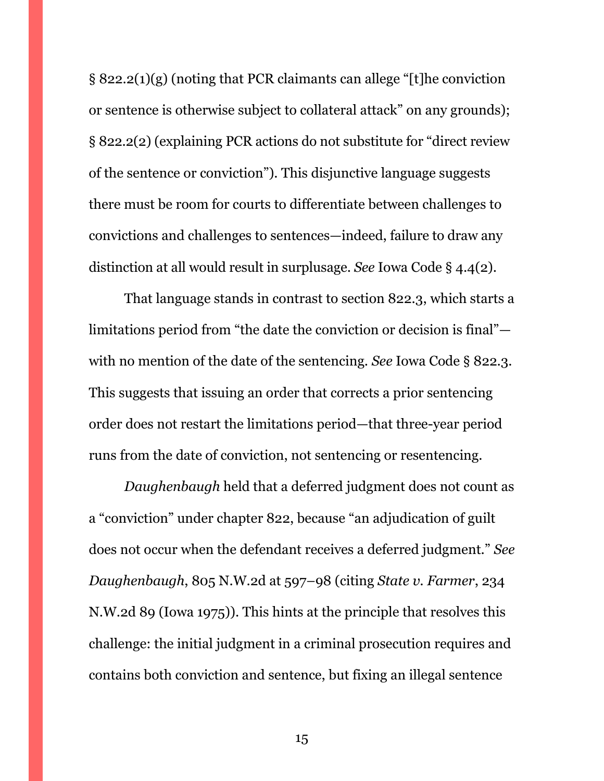§ 822.2(1)(g) (noting that PCR claimants can allege "[t]he conviction or sentence is otherwise subject to collateral attack" on any grounds); § 822.2(2) (explaining PCR actions do not substitute for "direct review of the sentence or conviction"). This disjunctive language suggests there must be room for courts to differentiate between challenges to convictions and challenges to sentences—indeed, failure to draw any distinction at all would result in surplusage. *See* Iowa Code § 4.4(2).

That language stands in contrast to section 822.3, which starts a limitations period from "the date the conviction or decision is final" with no mention of the date of the sentencing. *See* Iowa Code § 822.3. This suggests that issuing an order that corrects a prior sentencing order does not restart the limitations period—that three-year period runs from the date of conviction, not sentencing or resentencing.

*Daughenbaugh* held that a deferred judgment does not count as a "conviction" under chapter 822, because "an adjudication of guilt does not occur when the defendant receives a deferred judgment." *See Daughenbaugh*, 805 N.W.2d at 597–98 (citing *State v. Farmer*, 234 N.W.2d 89 (Iowa 1975)). This hints at the principle that resolves this challenge: the initial judgment in a criminal prosecution requires and contains both conviction and sentence, but fixing an illegal sentence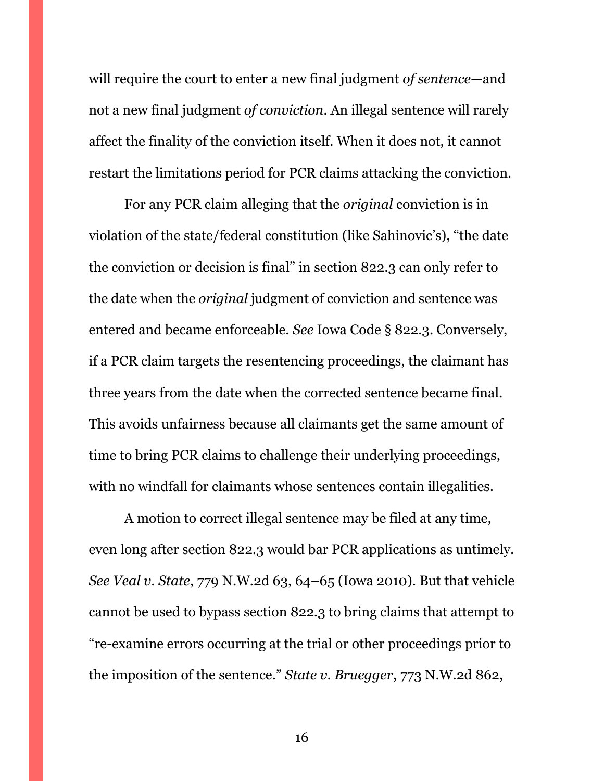will require the court to enter a new final judgment *of sentence*—and not a new final judgment *of conviction*. An illegal sentence will rarely affect the finality of the conviction itself. When it does not, it cannot restart the limitations period for PCR claims attacking the conviction.

For any PCR claim alleging that the *original* conviction is in violation of the state/federal constitution (like Sahinovic's), "the date the conviction or decision is final" in section 822.3 can only refer to the date when the *original* judgment of conviction and sentence was entered and became enforceable. *See* Iowa Code § 822.3. Conversely, if a PCR claim targets the resentencing proceedings, the claimant has three years from the date when the corrected sentence became final. This avoids unfairness because all claimants get the same amount of time to bring PCR claims to challenge their underlying proceedings, with no windfall for claimants whose sentences contain illegalities.

A motion to correct illegal sentence may be filed at any time, even long after section 822.3 would bar PCR applications as untimely. *See Veal v. State*, 779 N.W.2d 63, 64–65 (Iowa 2010). But that vehicle cannot be used to bypass section 822.3 to bring claims that attempt to "re-examine errors occurring at the trial or other proceedings prior to the imposition of the sentence." *State v. Bruegger*, 773 N.W.2d 862,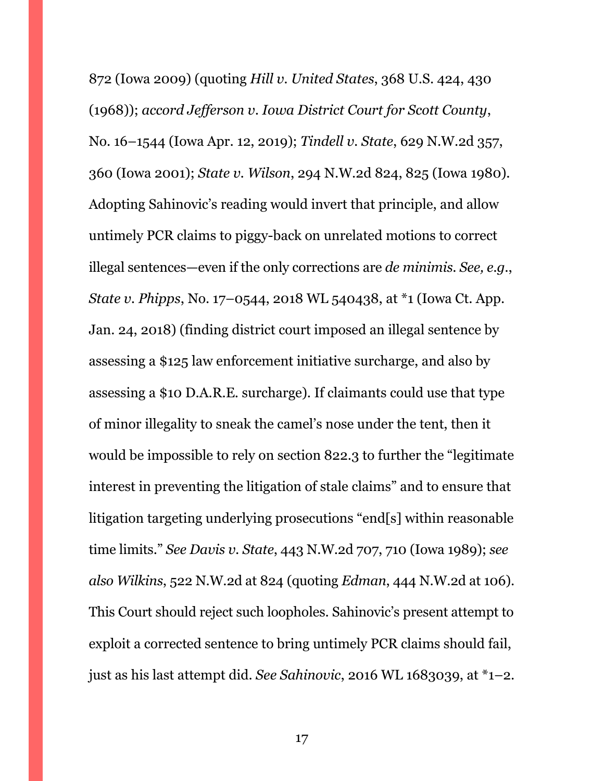872 (Iowa 2009) (quoting *Hill v. United States*, 368 U.S. 424, 430 (1968)); *accord Jefferson v. Iowa District Court for Scott County*, No. 16–1544 (Iowa Apr. 12, 2019); *Tindell v. State*, 629 N.W.2d 357, 360 (Iowa 2001); *State v. Wilson*, 294 N.W.2d 824, 825 (Iowa 1980). Adopting Sahinovic's reading would invert that principle, and allow untimely PCR claims to piggy-back on unrelated motions to correct illegal sentences—even if the only corrections are *de minimis*. *See, e.g.*, *State v. Phipps*, No. 17–0544, 2018 WL 540438, at \*1 (Iowa Ct. App. Jan. 24, 2018) (finding district court imposed an illegal sentence by assessing a \$125 law enforcement initiative surcharge, and also by assessing a \$10 D.A.R.E. surcharge). If claimants could use that type of minor illegality to sneak the camel's nose under the tent, then it would be impossible to rely on section 822.3 to further the "legitimate interest in preventing the litigation of stale claims" and to ensure that litigation targeting underlying prosecutions "end[s] within reasonable time limits." *See Davis v. State*, 443 N.W.2d 707, 710 (Iowa 1989); *see also Wilkins*, 522 N.W.2d at 824 (quoting *Edman*, 444 N.W.2d at 106). This Court should reject such loopholes. Sahinovic's present attempt to exploit a corrected sentence to bring untimely PCR claims should fail, just as his last attempt did. *See Sahinovic*, 2016 WL 1683039, at \*1–2.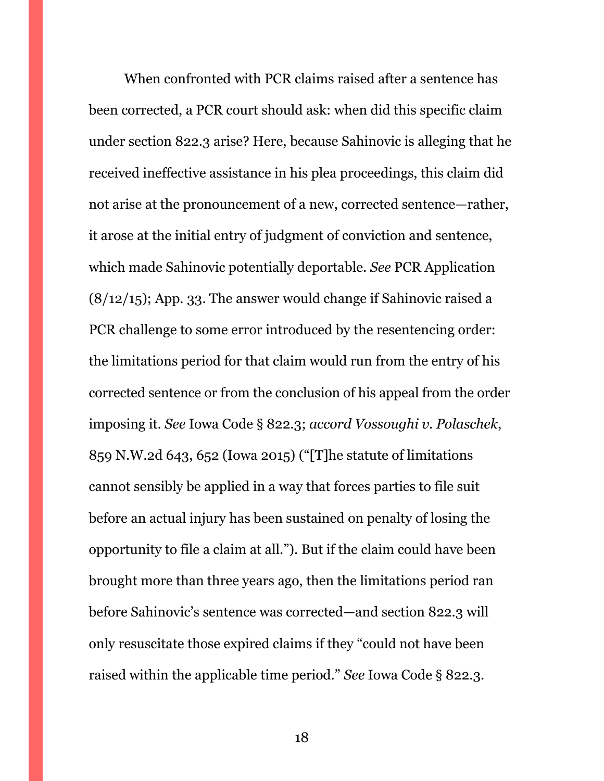When confronted with PCR claims raised after a sentence has been corrected, a PCR court should ask: when did this specific claim under section 822.3 arise? Here, because Sahinovic is alleging that he received ineffective assistance in his plea proceedings, this claim did not arise at the pronouncement of a new, corrected sentence—rather, it arose at the initial entry of judgment of conviction and sentence, which made Sahinovic potentially deportable. *See* PCR Application (8/12/15); App. 33. The answer would change if Sahinovic raised a PCR challenge to some error introduced by the resentencing order: the limitations period for that claim would run from the entry of his corrected sentence or from the conclusion of his appeal from the order imposing it. *See* Iowa Code § 822.3; *accord Vossoughi v. Polaschek*, 859 N.W.2d 643, 652 (Iowa 2015) ("[T]he statute of limitations cannot sensibly be applied in a way that forces parties to file suit before an actual injury has been sustained on penalty of losing the opportunity to file a claim at all."). But if the claim could have been brought more than three years ago, then the limitations period ran before Sahinovic's sentence was corrected—and section 822.3 will only resuscitate those expired claims if they "could not have been raised within the applicable time period." *See* Iowa Code § 822.3.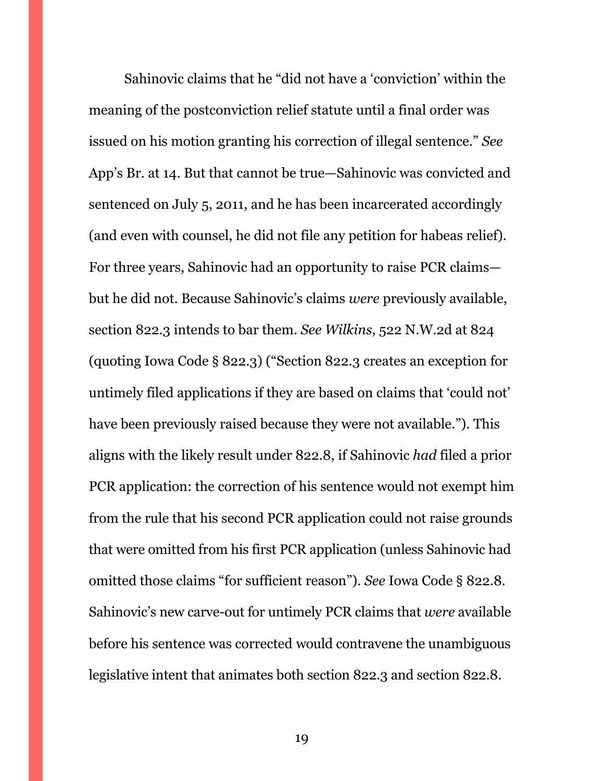Sahinovic claims that he "did not have a 'conviction' within the meaning of the postconviction relief statute until a final order was issued on his motion granting his correction of illegal sentence." *See*  App's Br. at 14. But that cannot be true—Sahinovic was convicted and sentenced on July 5, 2011, and he has been incarcerated accordingly (and even with counsel, he did not file any petition for habeas relief). For three years, Sahinovic had an opportunity to raise PCR claims but he did not. Because Sahinovic's claims *were* previously available, section 822.3 intends to bar them. *See Wilkins*, 522 N.W.2d at 824 (quoting Iowa Code § 822.3) ("Section 822.3 creates an exception for untimely filed applications if they are based on claims that 'could not' have been previously raised because they were not available."). This aligns with the likely result under 822.8, if Sahinovic *had* filed a prior PCR application: the correction of his sentence would not exempt him from the rule that his second PCR application could not raise grounds that were omitted from his first PCR application (unless Sahinovic had omitted those claims "for sufficient reason"). *See* Iowa Code § 822.8. Sahinovic's new carve-out for untimely PCR claims that *were* available before his sentence was corrected would contravene the unambiguous legislative intent that animates both section 822.3 and section 822.8.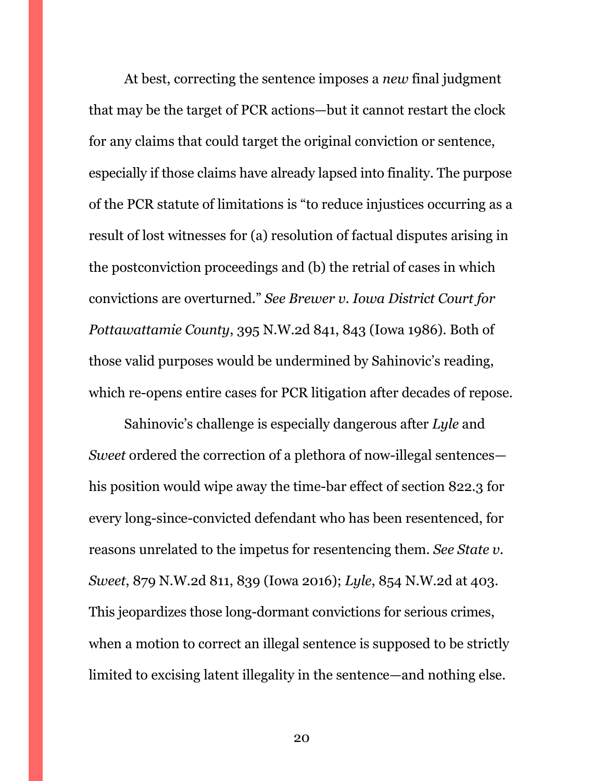At best, correcting the sentence imposes a *new* final judgment that may be the target of PCR actions—but it cannot restart the clock for any claims that could target the original conviction or sentence, especially if those claims have already lapsed into finality. The purpose of the PCR statute of limitations is "to reduce injustices occurring as a result of lost witnesses for (a) resolution of factual disputes arising in the postconviction proceedings and (b) the retrial of cases in which convictions are overturned." *See Brewer v. Iowa District Court for Pottawattamie County*, 395 N.W.2d 841, 843 (Iowa 1986). Both of those valid purposes would be undermined by Sahinovic's reading, which re-opens entire cases for PCR litigation after decades of repose.

Sahinovic's challenge is especially dangerous after *Lyle* and *Sweet* ordered the correction of a plethora of now-illegal sentences his position would wipe away the time-bar effect of section 822.3 for every long-since-convicted defendant who has been resentenced, for reasons unrelated to the impetus for resentencing them. *See State v. Sweet*, 879 N.W.2d 811, 839 (Iowa 2016); *Lyle*, 854 N.W.2d at 403. This jeopardizes those long-dormant convictions for serious crimes, when a motion to correct an illegal sentence is supposed to be strictly limited to excising latent illegality in the sentence—and nothing else.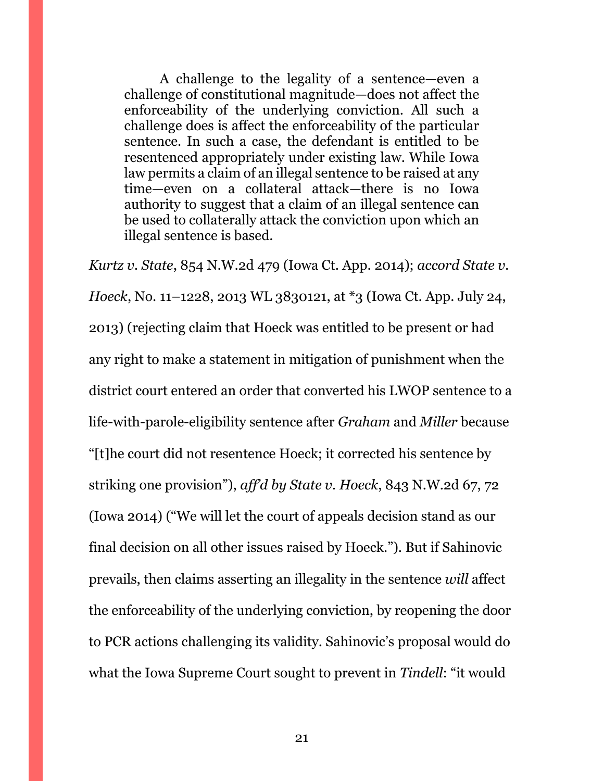A challenge to the legality of a sentence—even a challenge of constitutional magnitude—does not affect the enforceability of the underlying conviction. All such a challenge does is affect the enforceability of the particular sentence. In such a case, the defendant is entitled to be resentenced appropriately under existing law. While Iowa law permits a claim of an illegal sentence to be raised at any time—even on a collateral attack—there is no Iowa authority to suggest that a claim of an illegal sentence can be used to collaterally attack the conviction upon which an illegal sentence is based.

*Kurtz v. State*, 854 N.W.2d 479 (Iowa Ct. App. 2014); *accord State v. Hoeck*, No. 11–1228, 2013 WL 3830121, at \*3 (Iowa Ct. App. July 24, 2013) (rejecting claim that Hoeck was entitled to be present or had any right to make a statement in mitigation of punishment when the district court entered an order that converted his LWOP sentence to a life-with-parole-eligibility sentence after *Graham* and *Miller* because "[t]he court did not resentence Hoeck; it corrected his sentence by striking one provision"), *aff'd by State v. Hoeck*, 843 N.W.2d 67, 72 (Iowa 2014) ("We will let the court of appeals decision stand as our final decision on all other issues raised by Hoeck."). But if Sahinovic prevails, then claims asserting an illegality in the sentence *will* affect the enforceability of the underlying conviction, by reopening the door to PCR actions challenging its validity. Sahinovic's proposal would do what the Iowa Supreme Court sought to prevent in *Tindell*: "it would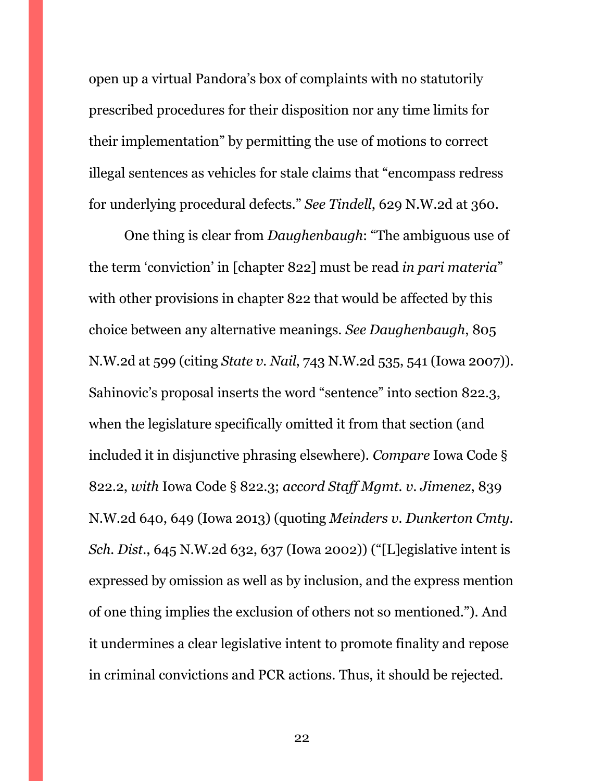open up a virtual Pandora's box of complaints with no statutorily prescribed procedures for their disposition nor any time limits for their implementation" by permitting the use of motions to correct illegal sentences as vehicles for stale claims that "encompass redress for underlying procedural defects." *See Tindell*, 629 N.W.2d at 360.

One thing is clear from *Daughenbaugh*: "The ambiguous use of the term 'conviction' in [chapter 822] must be read *in pari materia*" with other provisions in chapter 822 that would be affected by this choice between any alternative meanings. *See Daughenbaugh*, 805 N.W.2d at 599 (citing *State v. Nail*, 743 N.W.2d 535, 541 (Iowa 2007)). Sahinovic's proposal inserts the word "sentence" into section 822.3, when the legislature specifically omitted it from that section (and included it in disjunctive phrasing elsewhere). *Compare* Iowa Code § 822.2, *with* Iowa Code § 822.3; *accord Staff Mgmt. v. Jimenez*, 839 N.W.2d 640, 649 (Iowa 2013) (quoting *Meinders v. Dunkerton Cmty. Sch. Dist.*, 645 N.W.2d 632, 637 (Iowa 2002)) ("[L]egislative intent is expressed by omission as well as by inclusion, and the express mention of one thing implies the exclusion of others not so mentioned."). And it undermines a clear legislative intent to promote finality and repose in criminal convictions and PCR actions. Thus, it should be rejected.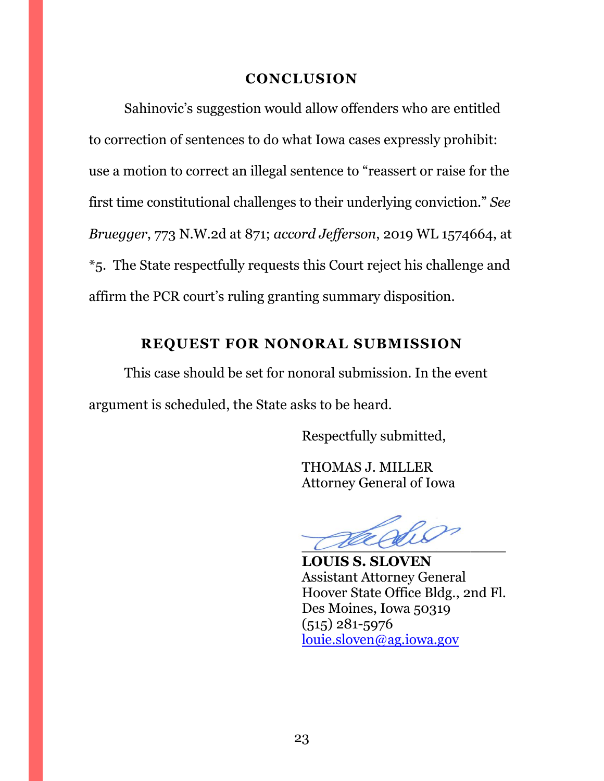#### **CONCLUSION**

<span id="page-22-0"></span>Sahinovic's suggestion would allow offenders who are entitled to correction of sentences to do what Iowa cases expressly prohibit: use a motion to correct an illegal sentence to "reassert or raise for the first time constitutional challenges to their underlying conviction." *See Bruegger*, 773 N.W.2d at 871; *accord Jefferson*, 2019 WL 1574664, at \*5. The State respectfully requests this Court reject his challenge and affirm the PCR court's ruling granting summary disposition.

## **REQUEST FOR NONORAL SUBMISSION**

<span id="page-22-1"></span>This case should be set for nonoral submission. In the event argument is scheduled, the State asks to be heard.

Respectfully submitted,

THOMAS J. MILLER Attorney General of Iowa

 $\overline{\mathcal{L}}$ 

**LOUIS S. SLOVEN** Assistant Attorney General Hoover State Office Bldg., 2nd Fl. Des Moines, Iowa 50319 (515) 281-5976 [louie.sloven@ag.iowa.gov](mailto:louie.sloven@ag.iowa.gov)